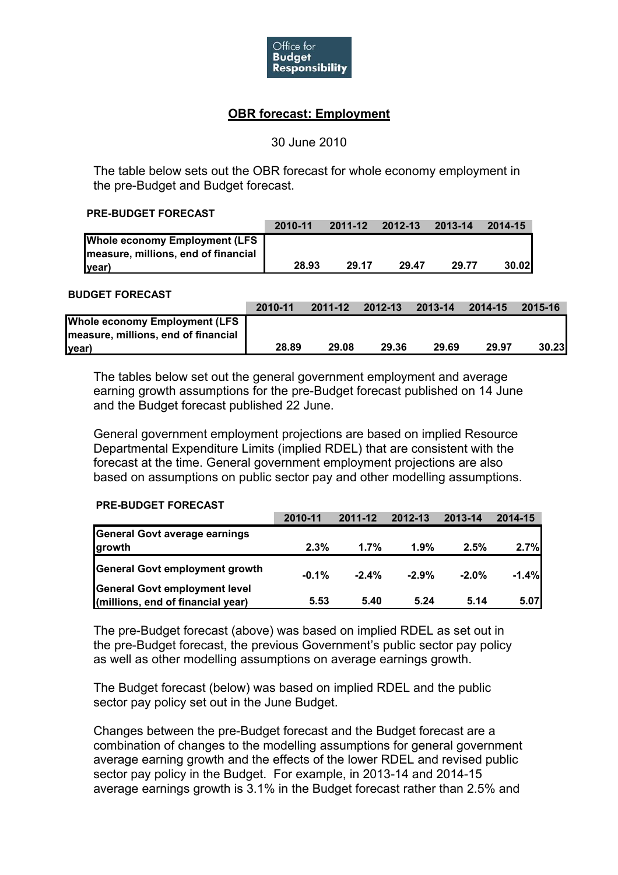

# **OBR forecast: Employment**

# 30 June 2010

The table below sets out the OBR forecast for whole economy employment in the pre-Budget and Budget forecast.

#### **PRE-BUDGET FORECAST**

|                                      | 2010-11 | 2011-12 | $2012 - 13$ | 2013-14 | 2014-15       |
|--------------------------------------|---------|---------|-------------|---------|---------------|
| <b>Whole economy Employment (LFS</b> |         |         |             |         |               |
| measure, millions, end of financial  |         |         |             |         |               |
| <u> year</u>                         | 28.93   | 29.17   | 29.47       | 29.77   | <b>30.021</b> |

#### **BUDGET FORECAST**

|                                      | 2010-11 | 2011-12 | 2012-13 | 2013-14 | 2014-15 | 2015-16 |
|--------------------------------------|---------|---------|---------|---------|---------|---------|
| <b>Whole economy Employment (LFS</b> |         |         |         |         |         |         |
| measure, millions, end of financial  |         |         |         |         |         |         |
| (lyear                               | 28.89   | 29.08   | 29.36   | 29.69   | 29.97   | 30.23   |

The tables below set out the general government employment and average earning growth assumptions for the pre-Budget forecast published on 14 June and the Budget forecast published 22 June.

General government employment projections are based on implied Resource Departmental Expenditure Limits (implied RDEL) that are consistent with the forecast at the time. General government employment projections are also based on assumptions on public sector pay and other modelling assumptions.

## **PRE-BUDGET FORECAST**

|                                   | 2010-11 | $2011 - 12$ | 2012-13 | 2013-14  | 2014-15 |
|-----------------------------------|---------|-------------|---------|----------|---------|
| General Govt average earnings     |         |             |         |          |         |
| growth                            | 2.3%    | 1.7%        | 1.9%    | 2.5%     | 2.7%    |
| General Govt employment growth    | $-0.1%$ | $-2.4%$     | $-2.9%$ | $-2.0\%$ | $-1.4%$ |
| General Govt employment level     |         |             |         |          |         |
| (millions, end of financial year) | 5.53    | 5.40        | 5.24    | 5.14     | 5.07    |

The pre-Budget forecast (above) was based on implied RDEL as set out in the pre-Budget forecast, the previous Government's public sector pay policy as well as other modelling assumptions on average earnings growth.

The Budget forecast (below) was based on implied RDEL and the public sector pay policy set out in the June Budget.

Changes between the pre-Budget forecast and the Budget forecast are a combination of changes to the modelling assumptions for general government average earning growth and the effects of the lower RDEL and revised public sector pay policy in the Budget. For example, in 2013-14 and 2014-15 average earnings growth is 3.1% in the Budget forecast rather than 2.5% and